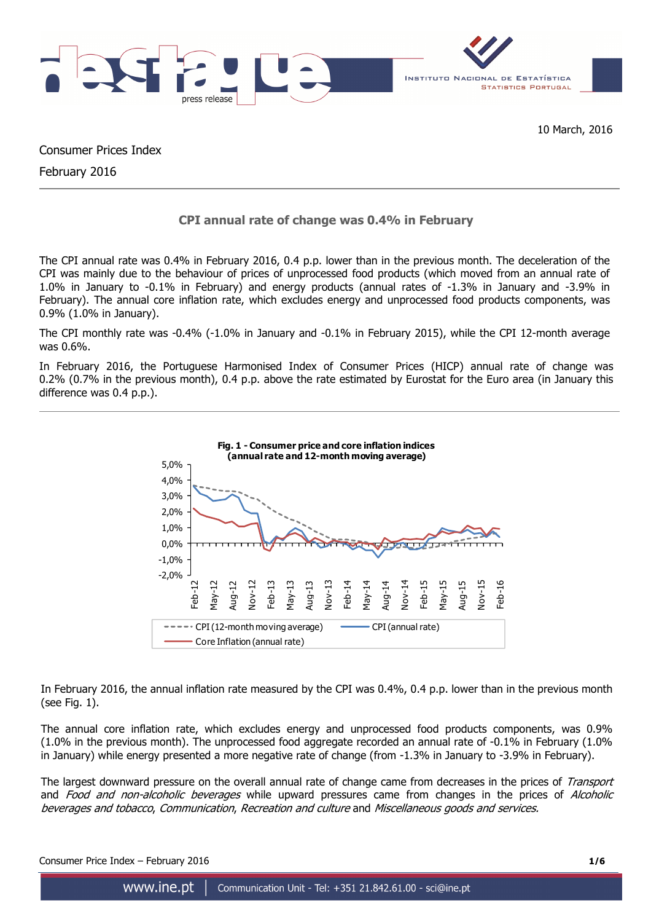

Consumer Prices Index

February 2016

# **CPI annual rate of change was 0.4% in February**

The CPI annual rate was 0.4% in February 2016, 0.4 p.p. lower than in the previous month. The deceleration of the CPI was mainly due to the behaviour of prices of unprocessed food products (which moved from an annual rate of 1.0% in January to -0.1% in February) and energy products (annual rates of -1.3% in January and -3.9% in February). The annual core inflation rate, which excludes energy and unprocessed food products components, was 0.9% (1.0% in January).

The CPI monthly rate was -0.4% (-1.0% in January and -0.1% in February 2015), while the CPI 12-month average was 0.6%.

In February 2016, the Portuguese Harmonised Index of Consumer Prices (HICP) annual rate of change was 0.2% (0.7% in the previous month), 0.4 p.p. above the rate estimated by Eurostat for the Euro area (in January this difference was 0.4 p.p.).



In February 2016, the annual inflation rate measured by the CPI was 0.4%, 0.4 p.p. lower than in the previous month (see Fig. 1).

The annual core inflation rate, which excludes energy and unprocessed food products components, was 0.9% (1.0% in the previous month). The unprocessed food aggregate recorded an annual rate of -0.1% in February (1.0% in January) while energy presented a more negative rate of change (from -1.3% in January to -3.9% in February).

The largest downward pressure on the overall annual rate of change came from decreases in the prices of Transport and Food and non-alcoholic beverages while upward pressures came from changes in the prices of Alcoholic beverages and tobacco, Communication, Recreation and culture and Miscellaneous goods and services.

Consumer Price Index – February 2016 **1/6**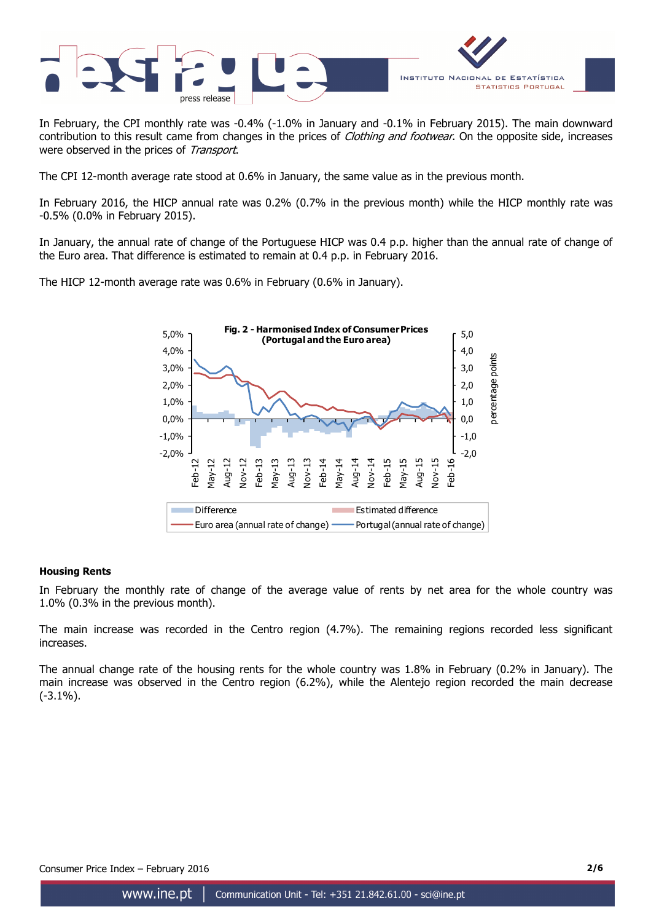

In February, the CPI monthly rate was -0.4% (-1.0% in January and -0.1% in February 2015). The main downward contribution to this result came from changes in the prices of *Clothing and footwear*. On the opposite side, increases were observed in the prices of Transport.

The CPI 12-month average rate stood at 0.6% in January, the same value as in the previous month.

In February 2016, the HICP annual rate was 0.2% (0.7% in the previous month) while the HICP monthly rate was -0.5% (0.0% in February 2015).

In January, the annual rate of change of the Portuguese HICP was 0.4 p.p. higher than the annual rate of change of the Euro area. That difference is estimated to remain at 0.4 p.p. in February 2016.

The HICP 12-month average rate was 0.6% in February (0.6% in January).



## **Housing Rents**

In February the monthly rate of change of the average value of rents by net area for the whole country was 1.0% (0.3% in the previous month).

The main increase was recorded in the Centro region (4.7%). The remaining regions recorded less significant increases.

The annual change rate of the housing rents for the whole country was 1.8% in February (0.2% in January). The main increase was observed in the Centro region (6.2%), while the Alentejo region recorded the main decrease (-3.1%).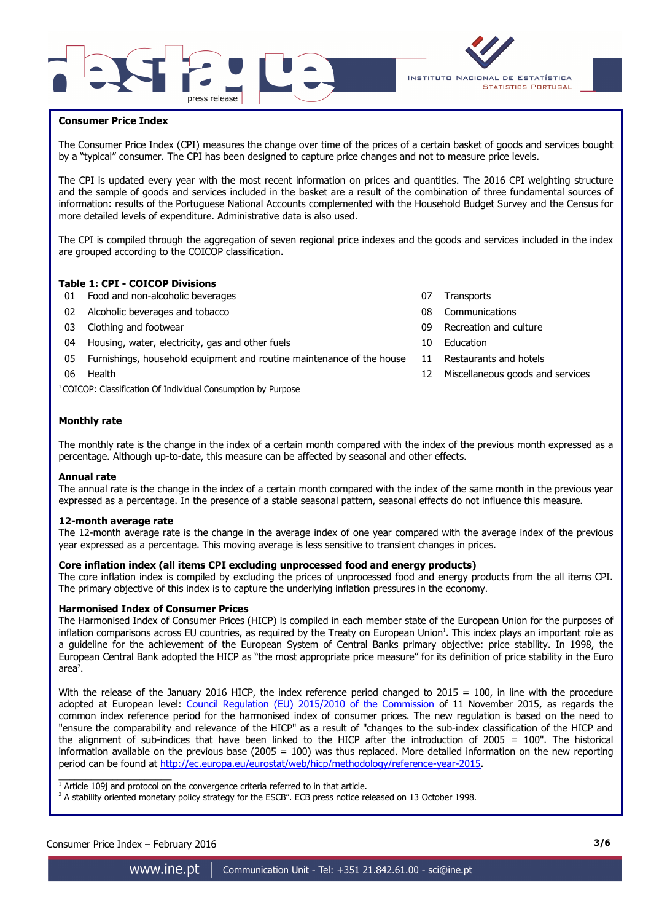



### **Consumer Price Index**

I

The Consumer Price Index (CPI) measures the change over time of the prices of a certain basket of goods and services bought by a "typical" consumer. The CPI has been designed to capture price changes and not to measure price levels.

The CPI is updated every year with the most recent information on prices and quantities. The 2016 CPI weighting structure and the sample of goods and services included in the basket are a result of the combination of three fundamental sources of information: results of the Portuguese National Accounts complemented with the Household Budget Survey and the Census for more detailed levels of expenditure. Administrative data is also used.

The CPI is compiled through the aggregation of seven regional price indexes and the goods and services included in the index are grouped according to the COICOP classification.

### **Table 1: CPI - COICOP Divisions**

| Food and non-alcoholic beverages                                      | 07 | <b>Transports</b>                |
|-----------------------------------------------------------------------|----|----------------------------------|
| Alcoholic beverages and tobacco                                       | 08 | Communications                   |
| Clothing and footwear                                                 | 09 | Recreation and culture           |
| Housing, water, electricity, gas and other fuels                      | 10 | Education                        |
| Furnishings, household equipment and routine maintenance of the house | 11 | Restaurants and hotels           |
| Health                                                                | 12 | Miscellaneous goods and services |
|                                                                       |    |                                  |

<sup>1</sup>COICOP: Classification Of Individual Consumption by Purpose

#### **Monthly rate**

The monthly rate is the change in the index of a certain month compared with the index of the previous month expressed as a percentage. Although up-to-date, this measure can be affected by seasonal and other effects.

#### **Annual rate**

The annual rate is the change in the index of a certain month compared with the index of the same month in the previous year expressed as a percentage. In the presence of a stable seasonal pattern, seasonal effects do not influence this measure.

#### **12-month average rate**

The 12-month average rate is the change in the average index of one year compared with the average index of the previous year expressed as a percentage. This moving average is less sensitive to transient changes in prices.

#### **Core inflation index (all items CPI excluding unprocessed food and energy products)**

The core inflation index is compiled by excluding the prices of unprocessed food and energy products from the all items CPI. The primary objective of this index is to capture the underlying inflation pressures in the economy.

#### **Harmonised Index of Consumer Prices**

The Harmonised Index of Consumer Prices (HICP) is compiled in each member state of the European Union for the purposes of inflation comparisons across EU countries, as required by the Treaty on European Union<sup>1</sup>. This index plays an important role as a guideline for the achievement of the European System of Central Banks primary objective: price stability. In 1998, the European Central Bank adopted the HICP as "the most appropriate price measure" for its definition of price stability in the Euro area $^2$ .

With the release of the January 2016 HICP, the index reference period changed to  $2015 = 100$ , in line with the procedure adopted at European level: Council Regulation (EU) 2015/2010 of the Commission of 11 November 2015, as regards the common index reference period for the harmonised index of consumer prices. The new regulation is based on the need to "ensure the comparability and relevance of the HICP" as a result of "changes to the sub-index classification of the HICP and the alignment of sub-indices that have been linked to the HICP after the introduction of 2005 = 100". The historical information available on the previous base (2005 = 100) was thus replaced. More detailed information on the new reporting period can be found at http://ec.europa.eu/eurostat/web/hicp/methodology/reference-year-2015.

 $\overline{\phantom{a}}$  , and the set of the set of the set of the set of the set of the set of the set of the set of the set of the set of the set of the set of the set of the set of the set of the set of the set of the set of the s  $1$  Article 109j and protocol on the convergence criteria referred to in that article.

<sup>2</sup> A stability oriented monetary policy strategy for the ESCB". ECB press notice released on 13 October 1998.

## Consumer Price Index – February 2016 **3/6**

www.ine.pt Communication Unit - Tel: +351 21.842.61.00 - sci@ine.pt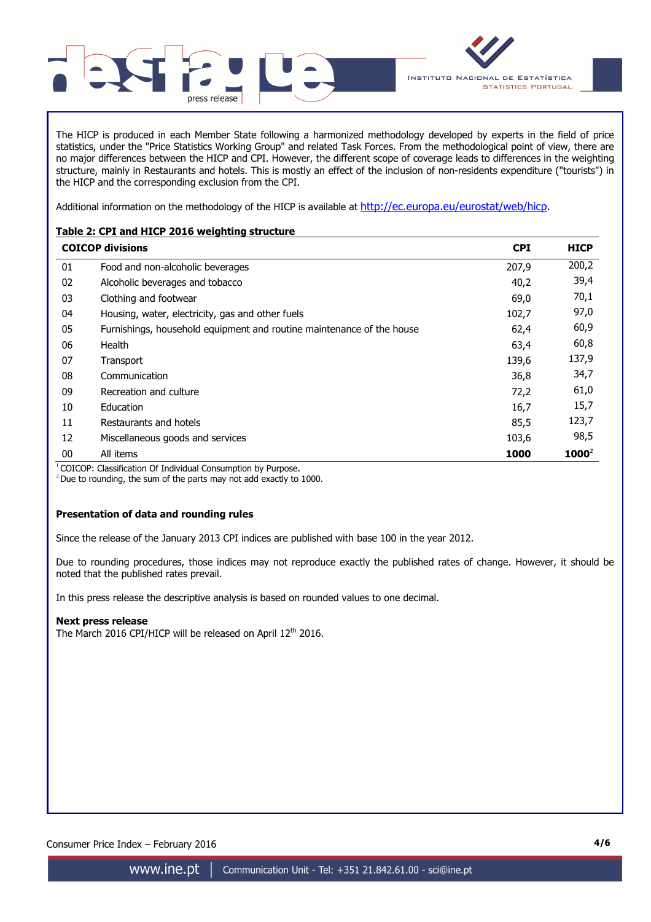

INSTITUTO NACIONAL DE ESTATÍSTICA **STATISTICS PORTUGAL** 

The HICP is produced in each Member State following a harmonized methodology developed by experts in the field of price statistics, under the "Price Statistics Working Group" and related Task Forces. From the methodological point of view, there are no major differences between the HICP and CPI. However, the different scope of coverage leads to differences in the weighting structure, mainly in Restaurants and hotels. This is mostly an effect of the inclusion of non-residents expenditure ("tourists") in the HICP and the corresponding exclusion from the CPI.

Additional information on the methodology of the HICP is available at http://ec.europa.eu/eurostat/web/hicp.

## **Table 2: CPI and HICP 2016 weighting structure**

|    | <b>COICOP divisions</b>                                               | <b>CPI</b> | <b>HICP</b> |
|----|-----------------------------------------------------------------------|------------|-------------|
| 01 | Food and non-alcoholic beverages                                      | 207,9      | 200,2       |
| 02 | Alcoholic beverages and tobacco                                       | 40,2       | 39,4        |
| 03 | Clothing and footwear                                                 | 69,0       | 70,1        |
| 04 | Housing, water, electricity, gas and other fuels                      | 102,7      | 97,0        |
| 05 | Furnishings, household equipment and routine maintenance of the house | 62,4       | 60,9        |
| 06 | Health                                                                | 63,4       | 60,8        |
| 07 | Transport                                                             | 139,6      | 137,9       |
| 08 | Communication                                                         | 36,8       | 34,7        |
| 09 | Recreation and culture                                                | 72,2       | 61,0        |
| 10 | Education                                                             | 16,7       | 15,7        |
| 11 | Restaurants and hotels                                                | 85,5       | 123,7       |
| 12 | Miscellaneous goods and services                                      | 103,6      | 98,5        |
| 00 | All items                                                             | 1000       | $1000^2$    |

<sup>1</sup> COICOP: Classification Of Individual Consumption by Purpose.

 $2$  Due to rounding, the sum of the parts may not add exactly to 1000.

## **Presentation of data and rounding rules**

Since the release of the January 2013 CPI indices are published with base 100 in the year 2012.

Due to rounding procedures, those indices may not reproduce exactly the published rates of change. However, it should be noted that the published rates prevail.

In this press release the descriptive analysis is based on rounded values to one decimal.

## **Next press release**

The March 2016 CPI/HICP will be released on April 12<sup>th</sup> 2016.

Consumer Price Index – February 2016 **4/6**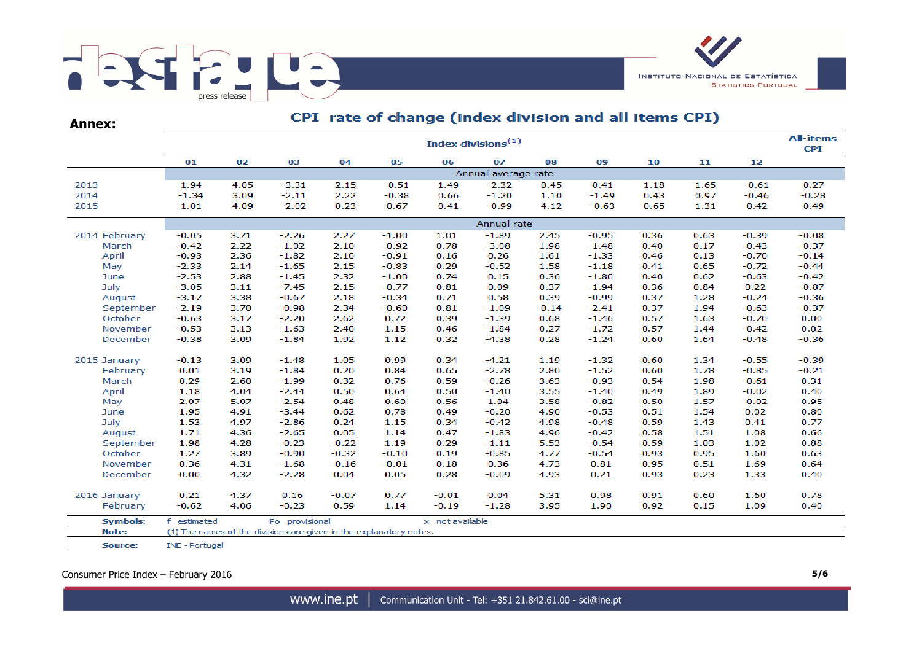

**Annex:**

# CPI rate of change (index division and all items CPI)

|                 |                | Index divisions $(1)$ |                                                                    |         |         |                 |                     |         |         |      |      |         |         |  |  |
|-----------------|----------------|-----------------------|--------------------------------------------------------------------|---------|---------|-----------------|---------------------|---------|---------|------|------|---------|---------|--|--|
|                 | 01             | 02                    | 03                                                                 | 04      | 05      | 06              | 07                  | 08      | 09      | 10   | 11   | 12      |         |  |  |
|                 |                |                       |                                                                    |         |         |                 | Annual average rate |         |         |      |      |         |         |  |  |
| 2013            | 1.94           | 4.05                  | $-3.31$                                                            | 2.15    | $-0.51$ | 1.49            | $-2.32$             | 0.45    | 0.41    | 1.18 | 1.65 | $-0.61$ | 0.27    |  |  |
| 2014            | $-1.34$        | 3.09                  | $-2.11$                                                            | 2.22    | $-0.38$ | 0.66            | $-1.20$             | 1.10    | $-1.49$ | 0.43 | 0.97 | $-0.46$ | $-0.28$ |  |  |
| 2015            | 1.01           | 4.09                  | $-2.02$                                                            | 0.23    | 0.67    | 0.41            | $-0.99$             | 4.12    | $-0.63$ | 0.65 | 1.31 | 0.42    | 0.49    |  |  |
|                 |                |                       |                                                                    |         |         |                 | Annual rate         |         |         |      |      |         |         |  |  |
| 2014 February   | $-0.05$        | 3.71                  | $-2.26$                                                            | 2.27    | $-1.00$ | 1.01            | $-1.89$             | 2.45    | $-0.95$ | 0.36 | 0.63 | $-0.39$ | $-0.08$ |  |  |
| March           | $-0.42$        | 2.22                  | $-1.02$                                                            | 2.10    | $-0.92$ | 0.78            | $-3.08$             | 1.98    | $-1.48$ | 0.40 | 0.17 | $-0.43$ | $-0.37$ |  |  |
| April           | $-0.93$        | 2.36                  | $-1.82$                                                            | 2.10    | $-0.91$ | 0.16            | 0.26                | 1.61    | $-1.33$ | 0.46 | 0.13 | $-0.70$ | $-0.14$ |  |  |
| May             | $-2.33$        | 2.14                  | $-1.65$                                                            | 2.15    | $-0.83$ | 0.29            | $-0.52$             | 1.58    | $-1.18$ | 0.41 | 0.65 | $-0.72$ | $-0.44$ |  |  |
| June            | $-2.53$        | 2.88                  | $-1.45$                                                            | 2.32    | $-1.00$ | 0.74            | 0.15                | 0.36    | $-1.80$ | 0.40 | 0.62 | $-0.63$ | $-0.42$ |  |  |
| July            | $-3.05$        | 3.11                  | $-7.45$                                                            | 2.15    | $-0.77$ | 0.81            | 0.09                | 0.37    | $-1.94$ | 0.36 | 0.84 | 0.22    | $-0.87$ |  |  |
| August          | $-3.17$        | 3.38                  | $-0.67$                                                            | 2.18    | $-0.34$ | 0.71            | 0.58                | 0.39    | $-0.99$ | 0.37 | 1.28 | $-0.24$ | $-0.36$ |  |  |
| September       | $-2.19$        | 3.70                  | $-0.98$                                                            | 2.34    | $-0.60$ | 0.81            | $-1.09$             | $-0.14$ | $-2.41$ | 0.37 | 1.94 | $-0.63$ | $-0.37$ |  |  |
| October         | $-0.63$        | 3.17                  | $-2.20$                                                            | 2.62    | 0.72    | 0.39            | $-1.39$             | 0.68    | $-1.46$ | 0.57 | 1.63 | $-0.70$ | 0.00    |  |  |
| November        | $-0.53$        | 3.13                  | $-1.63$                                                            | 2.40    | 1.15    | 0.46            | $-1.84$             | 0.27    | $-1.72$ | 0.57 | 1.44 | $-0.42$ | 0.02    |  |  |
| December        | $-0.38$        | 3.09                  | $-1.84$                                                            | 1.92    | 1.12    | 0.32            | $-4.38$             | 0.28    | $-1.24$ | 0.60 | 1.64 | $-0.48$ | $-0.36$ |  |  |
| 2015 January    | $-0.13$        | 3.09                  | $-1.48$                                                            | 1.05    | 0.99    | 0.34            | $-4.21$             | 1.19    | $-1.32$ | 0.60 | 1.34 | $-0.55$ | $-0.39$ |  |  |
| February        | 0.01           | 3.19                  | $-1.84$                                                            | 0.20    | 0.84    | 0.65            | $-2.78$             | 2.80    | $-1.52$ | 0.60 | 1.78 | $-0.85$ | $-0.21$ |  |  |
| March           | 0.29           | 2.60                  | $-1.99$                                                            | 0.32    | 0.76    | 0.59            | $-0.26$             | 3.63    | $-0.93$ | 0.54 | 1.98 | $-0.61$ | 0.31    |  |  |
| April           | 1.18           | 4.04                  | $-2.44$                                                            | 0.50    | 0.64    | 0.50            | $-1.40$             | 3.55    | $-1.40$ | 0.49 | 1.89 | $-0.02$ | 0.40    |  |  |
| May             | 2.07           | 5.07                  | $-2.54$                                                            | 0.48    | 0.60    | 0.56            | 1.04                | 3.58    | $-0.82$ | 0.50 | 1.57 | $-0.02$ | 0.95    |  |  |
| June            | 1.95           | 4.91                  | $-3.44$                                                            | 0.62    | 0.78    | 0.49            | $-0.20$             | 4.90    | $-0.53$ | 0.51 | 1.54 | 0.02    | 0.80    |  |  |
| July            | 1.53           | 4.97                  | $-2.86$                                                            | 0.24    | 1.15    | 0.34            | $-0.42$             | 4.98    | $-0.48$ | 0.59 | 1.43 | 0.41    | 0.77    |  |  |
| August          | 1.71           | 4.36                  | $-2.65$                                                            | 0.05    | 1.14    | 0.47            | $-1.83$             | 4.96    | $-0.42$ | 0.58 | 1.51 | 1.08    | 0.66    |  |  |
| September       | 1.98           | 4.28                  | $-0.23$                                                            | $-0.22$ | 1.19    | 0.29            | $-1.11$             | 5.53    | $-0.54$ | 0.59 | 1.03 | 1.02    | 0.88    |  |  |
| October         | 1.27           | 3.89                  | $-0.90$                                                            | $-0.32$ | $-0.10$ | 0.19            | $-0.85$             | 4.77    | $-0.54$ | 0.93 | 0.95 | 1.60    | 0.63    |  |  |
| November        | 0.36           | 4.31                  | $-1.68$                                                            | $-0.16$ | $-0.01$ | 0.18            | 0.36                | 4.73    | 0.81    | 0.95 | 0.51 | 1.69    | 0.64    |  |  |
| December        | 0.00           | 4.32                  | $-2.28$                                                            | 0.04    | 0.05    | 0.28            | $-0.09$             | 4.93    | 0.21    | 0.93 | 0.23 | 1.33    | 0.40    |  |  |
|                 |                |                       |                                                                    |         |         |                 |                     |         |         |      |      |         |         |  |  |
| 2016 January    | 0.21           | 4.37                  | 0.16                                                               | $-0.07$ | 0.77    | $-0.01$         | 0.04                | 5.31    | 0.98    | 0.91 | 0.60 | 1.60    | 0.78    |  |  |
| February        | $-0.62$        | 4.06                  | $-0.23$                                                            | 0.59    | 1.14    | $-0.19$         | $-1.28$             | 3.95    | 1.90    | 0.92 | 0.15 | 1.09    | 0.40    |  |  |
| <b>Symbols:</b> | f estimated    |                       | Po provisional                                                     |         |         | x not available |                     |         |         |      |      |         |         |  |  |
| Note:           |                |                       | (1) The names of the divisions are given in the explanatory notes. |         |         |                 |                     |         |         |      |      |         |         |  |  |
| Source:         | INE - Portugal |                       |                                                                    |         |         |                 |                     |         |         |      |      |         |         |  |  |

Consumer Price Index – February 2016 **5/6**